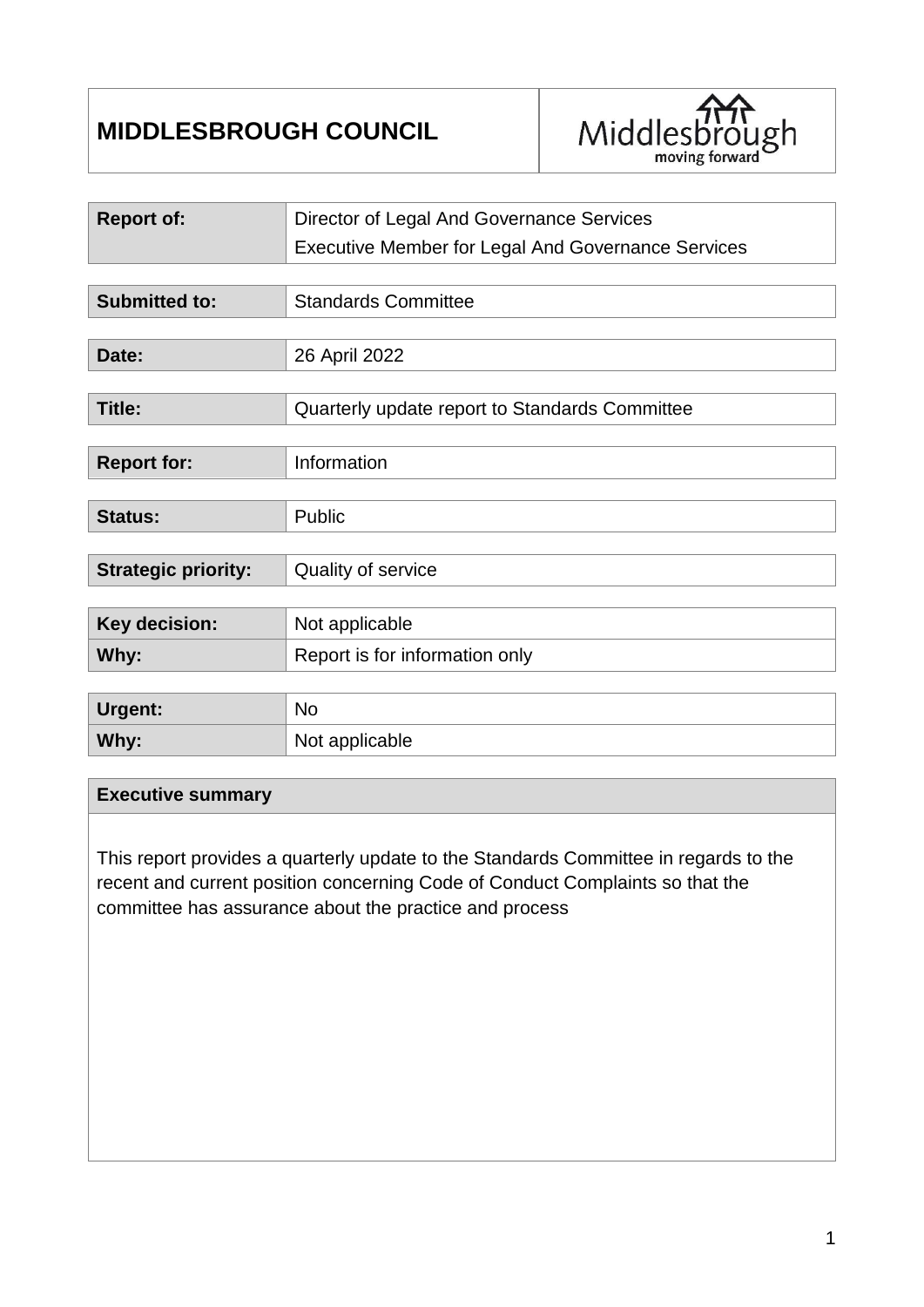# **MIDDLESBROUGH COUNCIL**



| <b>Report of:</b>          | Director of Legal And Governance Services                 |  |  |  |  |
|----------------------------|-----------------------------------------------------------|--|--|--|--|
|                            | <b>Executive Member for Legal And Governance Services</b> |  |  |  |  |
|                            |                                                           |  |  |  |  |
| <b>Submitted to:</b>       | <b>Standards Committee</b>                                |  |  |  |  |
|                            |                                                           |  |  |  |  |
| Date:                      | 26 April 2022                                             |  |  |  |  |
|                            |                                                           |  |  |  |  |
| Title:                     | Quarterly update report to Standards Committee            |  |  |  |  |
|                            |                                                           |  |  |  |  |
| <b>Report for:</b>         | Information                                               |  |  |  |  |
|                            |                                                           |  |  |  |  |
| <b>Status:</b>             | Public                                                    |  |  |  |  |
|                            |                                                           |  |  |  |  |
| <b>Strategic priority:</b> | Quality of service                                        |  |  |  |  |
|                            |                                                           |  |  |  |  |
| Key decision:              | Not applicable                                            |  |  |  |  |
| Why:                       | Report is for information only                            |  |  |  |  |
|                            |                                                           |  |  |  |  |
| <b>Urgent:</b>             | <b>No</b>                                                 |  |  |  |  |
| Why:                       | Not applicable                                            |  |  |  |  |

#### **Executive summary**

This report provides a quarterly update to the Standards Committee in regards to the recent and current position concerning Code of Conduct Complaints so that the committee has assurance about the practice and process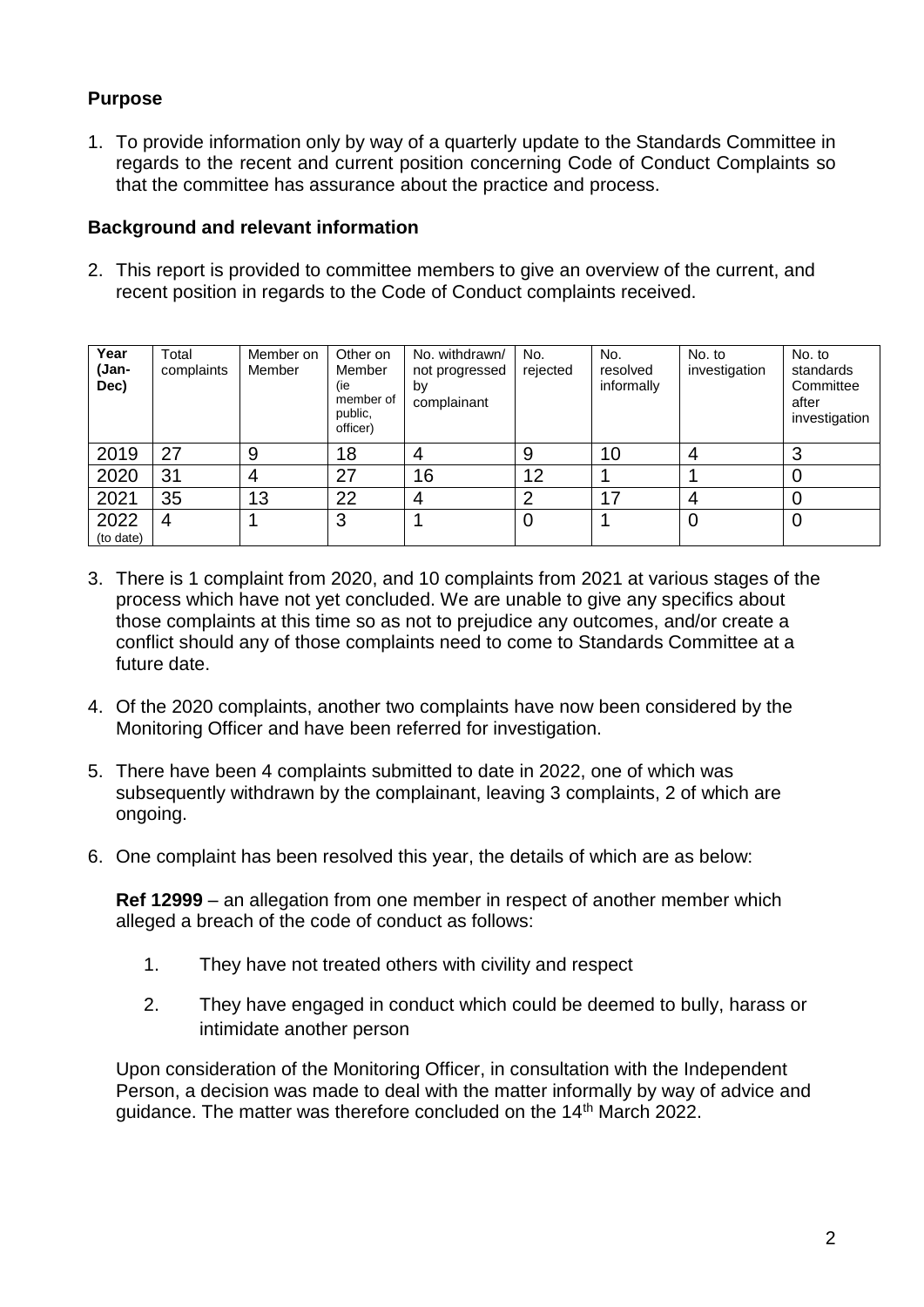## **Purpose**

1. To provide information only by way of a quarterly update to the Standards Committee in regards to the recent and current position concerning Code of Conduct Complaints so that the committee has assurance about the practice and process.

#### **Background and relevant information**

2. This report is provided to committee members to give an overview of the current, and recent position in regards to the Code of Conduct complaints received.

| Year<br>(Jan-<br>Dec) | Total<br>complaints | Member on<br>Member | Other on<br>Member<br>(ie<br>member of<br>public,<br>officer) | No. withdrawn/<br>not progressed<br>by<br>complainant | No.<br>rejected | No.<br>resolved<br>informally | No. to<br>investigation | No. to<br>standards<br>Committee<br>after<br>investigation |
|-----------------------|---------------------|---------------------|---------------------------------------------------------------|-------------------------------------------------------|-----------------|-------------------------------|-------------------------|------------------------------------------------------------|
| 2019                  | 27                  | 9                   | 18                                                            | 4                                                     | 9               | 10                            |                         | າ<br>C                                                     |
| 2020                  | 31                  | 4                   | 27                                                            | 16                                                    | 12              |                               |                         |                                                            |
| 2021                  | 35                  | 13                  | 22                                                            | 4                                                     | ာ               | 17                            | 4                       |                                                            |
| 2022<br>(to date)     | 4                   |                     | 3                                                             |                                                       | 0               |                               | 0                       | 0                                                          |

- 3. There is 1 complaint from 2020, and 10 complaints from 2021 at various stages of the process which have not yet concluded. We are unable to give any specifics about those complaints at this time so as not to prejudice any outcomes, and/or create a conflict should any of those complaints need to come to Standards Committee at a future date.
- 4. Of the 2020 complaints, another two complaints have now been considered by the Monitoring Officer and have been referred for investigation.
- 5. There have been 4 complaints submitted to date in 2022, one of which was subsequently withdrawn by the complainant, leaving 3 complaints, 2 of which are ongoing.
- 6. One complaint has been resolved this year, the details of which are as below:

**Ref 12999** – an allegation from one member in respect of another member which alleged a breach of the code of conduct as follows:

- 1. They have not treated others with civility and respect
- 2. They have engaged in conduct which could be deemed to bully, harass or intimidate another person

Upon consideration of the Monitoring Officer, in consultation with the Independent Person, a decision was made to deal with the matter informally by way of advice and guidance. The matter was therefore concluded on the 14<sup>th</sup> March 2022.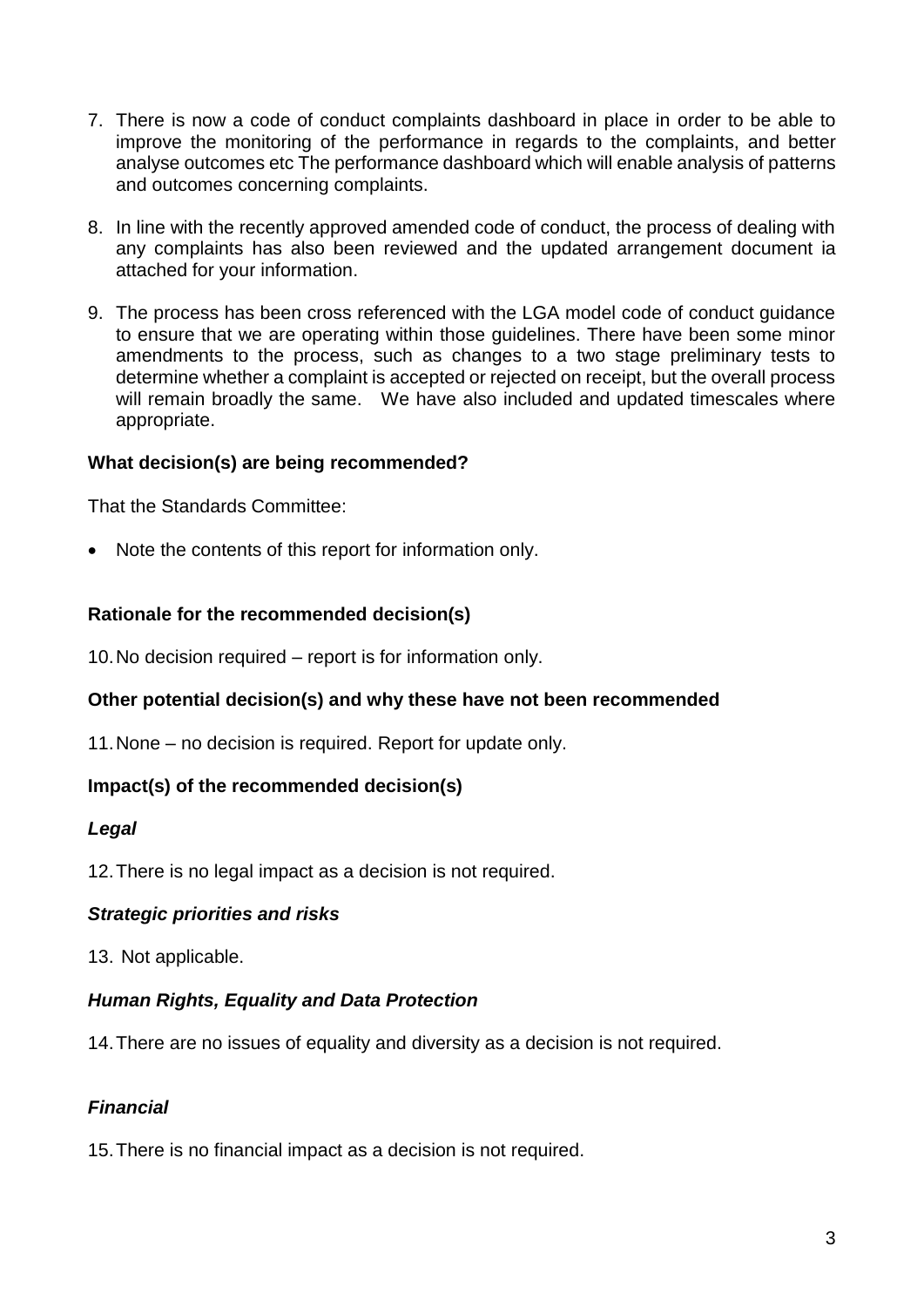- 7. There is now a code of conduct complaints dashboard in place in order to be able to improve the monitoring of the performance in regards to the complaints, and better analyse outcomes etc The performance dashboard which will enable analysis of patterns and outcomes concerning complaints.
- 8. In line with the recently approved amended code of conduct, the process of dealing with any complaints has also been reviewed and the updated arrangement document ia attached for your information.
- 9. The process has been cross referenced with the LGA model code of conduct guidance to ensure that we are operating within those guidelines. There have been some minor amendments to the process, such as changes to a two stage preliminary tests to determine whether a complaint is accepted or rejected on receipt, but the overall process will remain broadly the same. We have also included and updated timescales where appropriate.

#### **What decision(s) are being recommended?**

That the Standards Committee:

• Note the contents of this report for information only.

## **Rationale for the recommended decision(s)**

10.No decision required – report is for information only.

#### **Other potential decision(s) and why these have not been recommended**

11.None – no decision is required. Report for update only.

#### **Impact(s) of the recommended decision(s)**

#### *Legal*

12.There is no legal impact as a decision is not required.

#### *Strategic priorities and risks*

13. Not applicable.

#### *Human Rights, Equality and Data Protection*

14.There are no issues of equality and diversity as a decision is not required.

## *Financial*

15.There is no financial impact as a decision is not required.